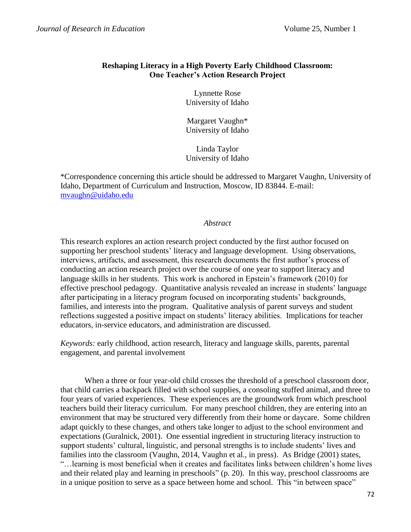# **Reshaping Literacy in a High Poverty Early Childhood Classroom: One Teacher's Action Research Project**

Lynnette Rose University of Idaho

Margaret Vaughn\* University of Idaho

Linda Taylor University of Idaho

\*Correspondence concerning this article should be addressed to Margaret Vaughn, University of Idaho, Department of Curriculum and Instruction, Moscow, ID 83844. E-mail: [mvaughn@uidaho.edu](mailto:mvaughn@uidaho.edu)

#### *Abstract*

This research explores an action research project conducted by the first author focused on supporting her preschool students' literacy and language development. Using observations, interviews, artifacts, and assessment, this research documents the first author's process of conducting an action research project over the course of one year to support literacy and language skills in her students. This work is anchored in Epstein's framework (2010) for effective preschool pedagogy. Quantitative analysis revealed an increase in students' language after participating in a literacy program focused on incorporating students' backgrounds, families, and interests into the program. Qualitative analysis of parent surveys and student reflections suggested a positive impact on students' literacy abilities. Implications for teacher educators, in-service educators, and administration are discussed.

*Keywords:* early childhood, action research, literacy and language skills, parents, parental engagement, and parental involvement

When a three or four year-old child crosses the threshold of a preschool classroom door, that child carries a backpack filled with school supplies, a consoling stuffed animal, and three to four years of varied experiences. These experiences are the groundwork from which preschool teachers build their literacy curriculum. For many preschool children, they are entering into an environment that may be structured very differently from their home or daycare. Some children adapt quickly to these changes, and others take longer to adjust to the school environment and expectations (Guralnick, 2001). One essential ingredient in structuring literacy instruction to support students' cultural, linguistic, and personal strengths is to include students' lives and families into the classroom (Vaughn, 2014, Vaughn et al., in press). As Bridge (2001) states, "…learning is most beneficial when it creates and facilitates links between children's home lives and their related play and learning in preschools" (p. 20). In this way, preschool classrooms are in a unique position to serve as a space between home and school. This "in between space"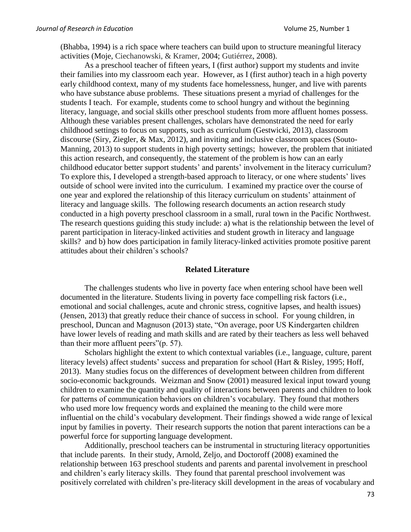(Bhabba, 1994) is a rich space where teachers can build upon to structure meaningful literacy activities (Moje, Ciechanowski, & Kramer, 2004; Gutiérrez, 2008).

As a preschool teacher of fifteen years, I (first author) support my students and invite their families into my classroom each year. However, as I (first author) teach in a high poverty early childhood context, many of my students face homelessness, hunger, and live with parents who have substance abuse problems. These situations present a myriad of challenges for the students I teach. For example, students come to school hungry and without the beginning literacy, language, and social skills other preschool students from more affluent homes possess. Although these variables present challenges, scholars have demonstrated the need for early childhood settings to focus on supports, such as curriculum (Gestwicki, 2013), classroom discourse (Siry, Ziegler, & Max, 2012), and inviting and inclusive classroom spaces (Souto-Manning, 2013) to support students in high poverty settings; however, the problem that initiated this action research, and consequently, the statement of the problem is how can an early childhood educator better support students' and parents' involvement in the literacy curriculum? To explore this, I developed a strength-based approach to literacy, or one where students' lives outside of school were invited into the curriculum. I examined my practice over the course of one year and explored the relationship of this literacy curriculum on students' attainment of literacy and language skills. The following research documents an action research study conducted in a high poverty preschool classroom in a small, rural town in the Pacific Northwest. The research questions guiding this study include: a) what is the relationship between the level of parent participation in literacy-linked activities and student growth in literacy and language skills? and b) how does participation in family literacy-linked activities promote positive parent attitudes about their children's schools?

#### **Related Literature**

The challenges students who live in poverty face when entering school have been well documented in the literature. Students living in poverty face compelling risk factors (i.e., emotional and social challenges, acute and chronic stress, cognitive lapses, and health issues) (Jensen, 2013) that greatly reduce their chance of success in school. For young children, in preschool, Duncan and Magnuson (2013) state, "On average, poor US Kindergarten children have lower levels of reading and math skills and are rated by their teachers as less well behaved than their more affluent peers"(p. 57).

Scholars highlight the extent to which contextual variables (i.e., language, culture, parent literacy levels) affect students' success and preparation for school (Hart & Risley, 1995; Hoff, 2013). Many studies focus on the differences of development between children from different socio-economic backgrounds. Weizman and Snow (2001) measured lexical input toward young children to examine the quantity and quality of interactions between parents and children to look for patterns of communication behaviors on children's vocabulary. They found that mothers who used more low frequency words and explained the meaning to the child were more influential on the child's vocabulary development. Their findings showed a wide range of lexical input by families in poverty. Their research supports the notion that parent interactions can be a powerful force for supporting language development.

Additionally, preschool teachers can be instrumental in structuring literacy opportunities that include parents. In their study, Arnold, Zeljo, and Doctoroff (2008) examined the relationship between 163 preschool students and parents and parental involvement in preschool and children's early literacy skills. They found that parental preschool involvement was positively correlated with children's pre-literacy skill development in the areas of vocabulary and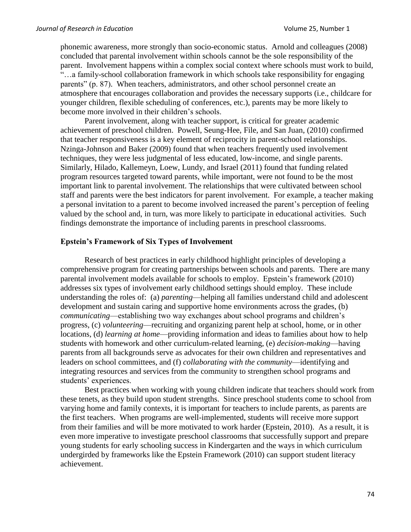phonemic awareness, more strongly than socio-economic status. Arnold and colleagues (2008) concluded that parental involvement within schools cannot be the sole responsibility of the parent. Involvement happens within a complex social context where schools must work to build, "…a family-school collaboration framework in which schools take responsibility for engaging parents" (p. 87). When teachers, administrators, and other school personnel create an atmosphere that encourages collaboration and provides the necessary supports (i.e., childcare for younger children, flexible scheduling of conferences, etc.), parents may be more likely to become more involved in their children's schools.

Parent involvement, along with teacher support, is critical for greater academic achievement of preschool children. Powell, Seung-Hee, File, and San Juan, (2010) confirmed that teacher responsiveness is a key element of reciprocity in parent-school relationships. Nzinga-Johnson and Baker (2009) found that when teachers frequently used involvement techniques, they were less judgmental of less educated, low-income, and single parents. Similarly, Hilado, Kallemeyn, Loew, Lundy, and Israel (2011) found that funding related program resources targeted toward parents, while important, were not found to be the most important link to parental involvement. The relationships that were cultivated between school staff and parents were the best indicators for parent involvement. For example, a teacher making a personal invitation to a parent to become involved increased the parent's perception of feeling valued by the school and, in turn, was more likely to participate in educational activities. Such findings demonstrate the importance of including parents in preschool classrooms.

## **Epstein's Framework of Six Types of Involvement**

Research of best practices in early childhood highlight principles of developing a comprehensive program for creating partnerships between schools and parents. There are many parental involvement models available for schools to employ. Epstein's framework (2010) addresses six types of involvement early childhood settings should employ. These include understanding the roles of: (a) *parenting*—helping all families understand child and adolescent development and sustain caring and supportive home environments across the grades, (b) *communicating*—establishing two way exchanges about school programs and children's progress, (c) *volunteering*—recruiting and organizing parent help at school, home, or in other locations, (d) *learning at home*—providing information and ideas to families about how to help students with homework and other curriculum-related learning, (e) *decision-making*—having parents from all backgrounds serve as advocates for their own children and representatives and leaders on school committees, and (f) *collaborating with the community*—identifying and integrating resources and services from the community to strengthen school programs and students' experiences.

Best practices when working with young children indicate that teachers should work from these tenets, as they build upon student strengths. Since preschool students come to school from varying home and family contexts, it is important for teachers to include parents, as parents are the first teachers. When programs are well-implemented, students will receive more support from their families and will be more motivated to work harder (Epstein, 2010). As a result, it is even more imperative to investigate preschool classrooms that successfully support and prepare young students for early schooling success in Kindergarten and the ways in which curriculum undergirded by frameworks like the Epstein Framework (2010) can support student literacy achievement.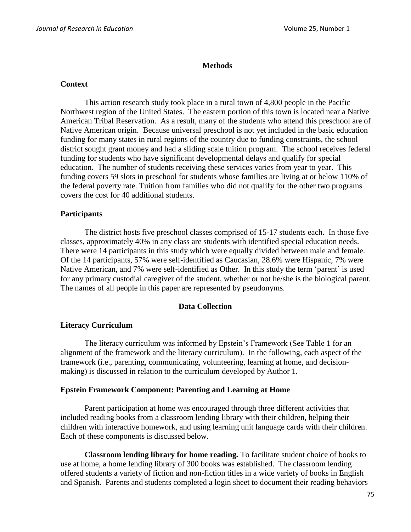## **Methods**

#### **Context**

This action research study took place in a rural town of 4,800 people in the Pacific Northwest region of the United States. The eastern portion of this town is located near a Native American Tribal Reservation. As a result, many of the students who attend this preschool are of Native American origin. Because universal preschool is not yet included in the basic education funding for many states in rural regions of the country due to funding constraints, the school district sought grant money and had a sliding scale tuition program. The school receives federal funding for students who have significant developmental delays and qualify for special education. The number of students receiving these services varies from year to year. This funding covers 59 slots in preschool for students whose families are living at or below 110% of the federal poverty rate. Tuition from families who did not qualify for the other two programs covers the cost for 40 additional students.

# **Participants**

The district hosts five preschool classes comprised of 15-17 students each. In those five classes, approximately 40% in any class are students with identified special education needs. There were 14 participants in this study which were equally divided between male and female. Of the 14 participants, 57% were self-identified as Caucasian, 28.6% were Hispanic, 7% were Native American, and 7% were self-identified as Other. In this study the term 'parent' is used for any primary custodial caregiver of the student, whether or not he/she is the biological parent. The names of all people in this paper are represented by pseudonyms.

# **Data Collection**

# **Literacy Curriculum**

The literacy curriculum was informed by Epstein's Framework (See Table 1 for an alignment of the framework and the literacy curriculum). In the following, each aspect of the framework (i.e., parenting, communicating, volunteering, learning at home, and decisionmaking) is discussed in relation to the curriculum developed by Author 1.

#### **Epstein Framework Component: Parenting and Learning at Home**

Parent participation at home was encouraged through three different activities that included reading books from a classroom lending library with their children, helping their children with interactive homework, and using learning unit language cards with their children. Each of these components is discussed below.

**Classroom lending library for home reading***.* To facilitate student choice of books to use at home, a home lending library of 300 books was established. The classroom lending offered students a variety of fiction and non-fiction titles in a wide variety of books in English and Spanish. Parents and students completed a login sheet to document their reading behaviors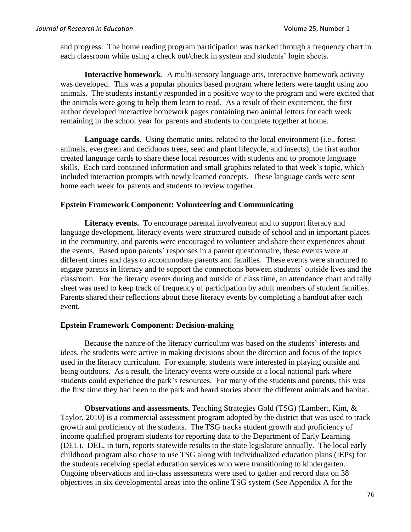and progress. The home reading program participation was tracked through a frequency chart in each classroom while using a check out/check in system and students' login sheets.

**Interactive homework**. A multi-sensory language arts, interactive homework activity was developed. This was a popular phonics based program where letters were taught using zoo animals. The students instantly responded in a positive way to the program and were excited that the animals were going to help them learn to read. As a result of their excitement, the first author developed interactive homework pages containing two animal letters for each week remaining in the school year for parents and students to complete together at home.

**Language cards**. Using thematic units, related to the local environment (i.e., forest animals, evergreen and deciduous trees, seed and plant lifecycle, and insects), the first author created language cards to share these local resources with students and to promote language skills. Each card contained information and small graphics related to that week's topic, which included interaction prompts with newly learned concepts. These language cards were sent home each week for parents and students to review together.

# **Epstein Framework Component: Volunteering and Communicating**

**Literacy events.** To encourage parental involvement and to support literacy and language development, literacy events were structured outside of school and in important places in the community, and parents were encouraged to volunteer and share their experiences about the events. Based upon parents' responses in a parent questionnaire, these events were at different times and days to accommodate parents and families. These events were structured to engage parents in literacy and to support the connections between students' outside lives and the classroom. For the literacy events during and outside of class time, an attendance chart and tally sheet was used to keep track of frequency of participation by adult members of student families. Parents shared their reflections about these literacy events by completing a handout after each event.

# **Epstein Framework Component: Decision-making**

Because the nature of the literacy curriculum was based on the students' interests and ideas, the students were active in making decisions about the direction and focus of the topics used in the literacy curriculum. For example, students were interested in playing outside and being outdoors. As a result, the literacy events were outside at a local national park where students could experience the park's resources. For many of the students and parents, this was the first time they had been to the park and heard stories about the different animals and habitat.

**Observations and assessments.** Teaching Strategies Gold (TSG) (Lambert, Kim, & Taylor, 2010) is a commercial assessment program adopted by the district that was used to track growth and proficiency of the students. The TSG tracks student growth and proficiency of income qualified program students for reporting data to the Department of Early Learning (DEL). DEL, in turn, reports statewide results to the state legislature annually. The local early childhood program also chose to use TSG along with individualized education plans (IEPs) for the students receiving special education services who were transitioning to kindergarten. Ongoing observations and in-class assessments were used to gather and record data on 38 objectives in six developmental areas into the online TSG system (See Appendix A for the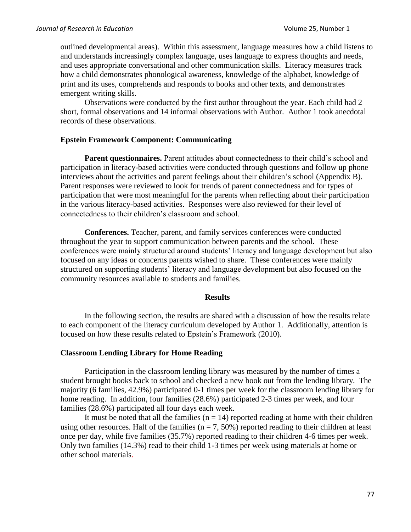outlined developmental areas). Within this assessment, language measures how a child listens to and understands increasingly complex language, uses language to express thoughts and needs, and uses appropriate conversational and other communication skills. Literacy measures track how a child demonstrates phonological awareness, knowledge of the alphabet, knowledge of print and its uses, comprehends and responds to books and other texts, and demonstrates emergent writing skills.

Observations were conducted by the first author throughout the year. Each child had 2 short, formal observations and 14 informal observations with Author. Author 1 took anecdotal records of these observations.

# **Epstein Framework Component: Communicating**

Parent questionnaires. Parent attitudes about connectedness to their child's school and participation in literacy-based activities were conducted through questions and follow up phone interviews about the activities and parent feelings about their children's school (Appendix B). Parent responses were reviewed to look for trends of parent connectedness and for types of participation that were most meaningful for the parents when reflecting about their participation in the various literacy-based activities. Responses were also reviewed for their level of connectedness to their children's classroom and school.

**Conferences.** Teacher, parent, and family services conferences were conducted throughout the year to support communication between parents and the school. These conferences were mainly structured around students' literacy and language development but also focused on any ideas or concerns parents wished to share. These conferences were mainly structured on supporting students' literacy and language development but also focused on the community resources available to students and families.

#### **Results**

In the following section, the results are shared with a discussion of how the results relate to each component of the literacy curriculum developed by Author 1. Additionally, attention is focused on how these results related to Epstein's Framework (2010).

# **Classroom Lending Library for Home Reading**

Participation in the classroom lending library was measured by the number of times a student brought books back to school and checked a new book out from the lending library. The majority (6 families, 42.9%) participated 0-1 times per week for the classroom lending library for home reading. In addition, four families (28.6%) participated 2-3 times per week, and four families (28.6%) participated all four days each week.

It must be noted that all the families  $(n = 14)$  reported reading at home with their children using other resources. Half of the families ( $n = 7, 50\%$ ) reported reading to their children at least once per day, while five families (35.7%) reported reading to their children 4-6 times per week. Only two families (14.3%) read to their child 1-3 times per week using materials at home or other school materials.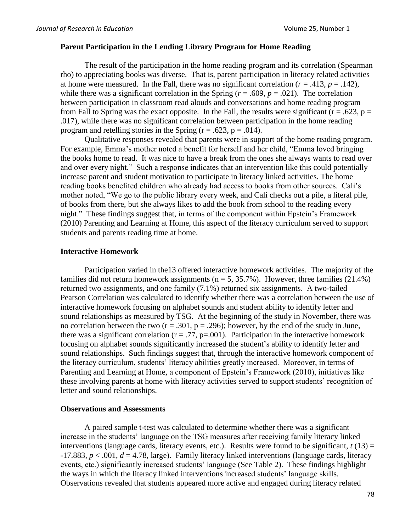## **Parent Participation in the Lending Library Program for Home Reading**

The result of the participation in the home reading program and its correlation (Spearman rho) to appreciating books was diverse. That is, parent participation in literacy related activities at home were measured. In the Fall, there was no significant correlation  $(r = .413, p = .142)$ , while there was a significant correlation in the Spring ( $r = .609$ ,  $p = .021$ ). The correlation between participation in classroom read alouds and conversations and home reading program from Fall to Spring was the exact opposite. In the Fall, the results were significant ( $r = .623$ ,  $p =$ .017), while there was no significant correlation between participation in the home reading program and retelling stories in the Spring ( $r = .623$ ,  $p = .014$ ).

Qualitative responses revealed that parents were in support of the home reading program. For example, Emma's mother noted a benefit for herself and her child, "Emma loved bringing the books home to read. It was nice to have a break from the ones she always wants to read over and over every night." Such a response indicates that an intervention like this could potentially increase parent and student motivation to participate in literacy linked activities. The home reading books benefited children who already had access to books from other sources. Cali's mother noted, "We go to the public library every week, and Cali checks out a pile, a literal pile, of books from there, but she always likes to add the book from school to the reading every night." These findings suggest that, in terms of the component within Epstein's Framework (2010) Parenting and Learning at Home, this aspect of the literacy curriculum served to support students and parents reading time at home.

# **Interactive Homework**

Participation varied in the13 offered interactive homework activities. The majority of the families did not return homework assignments ( $n = 5, 35.7\%$ ). However, three families (21.4%) returned two assignments, and one family (7.1%) returned six assignments. A two-tailed Pearson Correlation was calculated to identify whether there was a correlation between the use of interactive homework focusing on alphabet sounds and student ability to identify letter and sound relationships as measured by TSG. At the beginning of the study in November, there was no correlation between the two  $(r = .301, p = .296)$ ; however, by the end of the study in June, there was a significant correlation ( $r = .77$ ,  $p = .001$ ). Participation in the interactive homework focusing on alphabet sounds significantly increased the student's ability to identify letter and sound relationships. Such findings suggest that, through the interactive homework component of the literacy curriculum, students' literacy abilities greatly increased. Moreover, in terms of Parenting and Learning at Home, a component of Epstein's Framework (2010), initiatives like these involving parents at home with literacy activities served to support students' recognition of letter and sound relationships.

#### **Observations and Assessments**

A paired sample t-test was calculated to determine whether there was a significant increase in the students' language on the TSG measures after receiving family literacy linked interventions (language cards, literacy events, etc.). Results were found to be significant,  $t(13) =$  $-17.883, p < .001, d = 4.78$ , large). Family literacy linked interventions (language cards, literacy events, etc.) significantly increased students' language (See Table 2). These findings highlight the ways in which the literacy linked interventions increased students' language skills. Observations revealed that students appeared more active and engaged during literacy related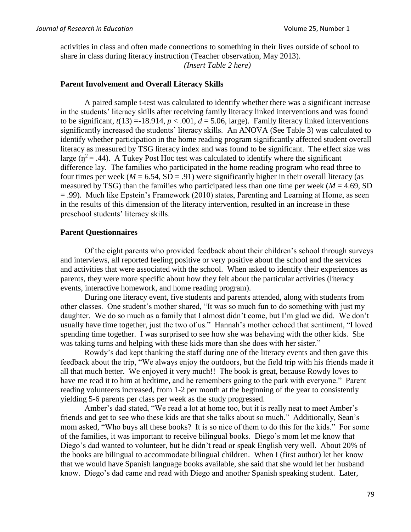activities in class and often made connections to something in their lives outside of school to share in class during literacy instruction (Teacher observation, May 2013).

*(Insert Table 2 here)*

# **Parent Involvement and Overall Literacy Skills**

A paired sample t-test was calculated to identify whether there was a significant increase in the students' literacy skills after receiving family literacy linked interventions and was found to be significant,  $t(13) = -18.914$ ,  $p < .001$ ,  $d = 5.06$ , large). Family literacy linked interventions significantly increased the students' literacy skills. An ANOVA (See Table 3) was calculated to identify whether participation in the home reading program significantly affected student overall literacy as measured by TSG literacy index and was found to be significant. The effect size was large ( $\eta^2$  = .44). A Tukey Post Hoc test was calculated to identify where the significant difference lay. The families who participated in the home reading program who read three to four times per week ( $M = 6.54$ , SD = .91) were significantly higher in their overall literacy (as measured by TSG) than the families who participated less than one time per week ( $M = 4.69$ , SD = .99). Much like Epstein's Framework (2010) states, Parenting and Learning at Home, as seen in the results of this dimension of the literacy intervention, resulted in an increase in these preschool students' literacy skills.

# **Parent Questionnaires**

Of the eight parents who provided feedback about their children's school through surveys and interviews, all reported feeling positive or very positive about the school and the services and activities that were associated with the school. When asked to identify their experiences as parents, they were more specific about how they felt about the particular activities (literacy events, interactive homework, and home reading program).

During one literacy event, five students and parents attended, along with students from other classes. One student's mother shared, "It was so much fun to do something with just my daughter. We do so much as a family that I almost didn't come, but I'm glad we did. We don't usually have time together, just the two of us." Hannah's mother echoed that sentiment, "I loved spending time together. I was surprised to see how she was behaving with the other kids. She was taking turns and helping with these kids more than she does with her sister."

Rowdy's dad kept thanking the staff during one of the literacy events and then gave this feedback about the trip, "We always enjoy the outdoors, but the field trip with his friends made it all that much better. We enjoyed it very much!! The book is great, because Rowdy loves to have me read it to him at bedtime, and he remembers going to the park with everyone." Parent reading volunteers increased, from 1-2 per month at the beginning of the year to consistently yielding 5-6 parents per class per week as the study progressed.

Amber's dad stated, "We read a lot at home too, but it is really neat to meet Amber's friends and get to see who these kids are that she talks about so much." Additionally, Sean's mom asked, "Who buys all these books? It is so nice of them to do this for the kids." For some of the families, it was important to receive bilingual books. Diego's mom let me know that Diego's dad wanted to volunteer, but he didn't read or speak English very well. About 20% of the books are bilingual to accommodate bilingual children. When I (first author) let her know that we would have Spanish language books available, she said that she would let her husband know. Diego's dad came and read with Diego and another Spanish speaking student. Later,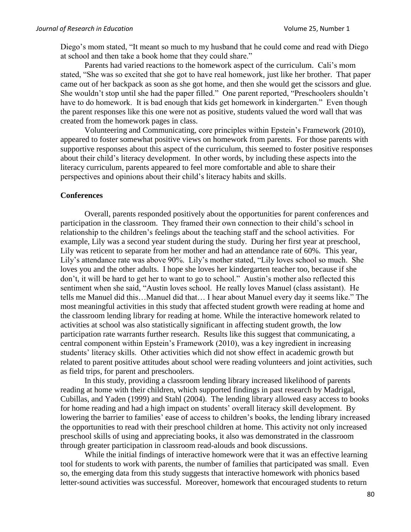Diego's mom stated, "It meant so much to my husband that he could come and read with Diego at school and then take a book home that they could share."

Parents had varied reactions to the homework aspect of the curriculum. Cali's mom stated, "She was so excited that she got to have real homework, just like her brother. That paper came out of her backpack as soon as she got home, and then she would get the scissors and glue. She wouldn't stop until she had the paper filled." One parent reported, "Preschoolers shouldn't have to do homework. It is bad enough that kids get homework in kindergarten." Even though the parent responses like this one were not as positive, students valued the word wall that was created from the homework pages in class.

Volunteering and Communicating, core principles within Epstein's Framework (2010), appeared to foster somewhat positive views on homework from parents. For those parents with supportive responses about this aspect of the curriculum, this seemed to foster positive responses about their child's literacy development. In other words, by including these aspects into the literacy curriculum, parents appeared to feel more comfortable and able to share their perspectives and opinions about their child's literacy habits and skills.

## **Conferences**

Overall, parents responded positively about the opportunities for parent conferences and participation in the classroom. They framed their own connection to their child's school in relationship to the children's feelings about the teaching staff and the school activities. For example, Lily was a second year student during the study. During her first year at preschool, Lily was reticent to separate from her mother and had an attendance rate of 60%. This year, Lily's attendance rate was above 90%. Lily's mother stated, "Lily loves school so much. She loves you and the other adults. I hope she loves her kindergarten teacher too, because if she don't, it will be hard to get her to want to go to school." Austin's mother also reflected this sentiment when she said, "Austin loves school. He really loves Manuel (class assistant). He tells me Manuel did this…Manuel did that… I hear about Manuel every day it seems like." The most meaningful activities in this study that affected student growth were reading at home and the classroom lending library for reading at home. While the interactive homework related to activities at school was also statistically significant in affecting student growth, the low participation rate warrants further research. Results like this suggest that communicating, a central component within Epstein's Framework (2010), was a key ingredient in increasing students' literacy skills. Other activities which did not show effect in academic growth but related to parent positive attitudes about school were reading volunteers and joint activities, such as field trips, for parent and preschoolers.

In this study, providing a classroom lending library increased likelihood of parents reading at home with their children, which supported findings in past research by Madrigal, Cubillas, and Yaden (1999) and Stahl (2004). The lending library allowed easy access to books for home reading and had a high impact on students' overall literacy skill development. By lowering the barrier to families' ease of access to children's books, the lending library increased the opportunities to read with their preschool children at home. This activity not only increased preschool skills of using and appreciating books, it also was demonstrated in the classroom through greater participation in classroom read-alouds and book discussions.

While the initial findings of interactive homework were that it was an effective learning tool for students to work with parents, the number of families that participated was small. Even so, the emerging data from this study suggests that interactive homework with phonics based letter-sound activities was successful. Moreover, homework that encouraged students to return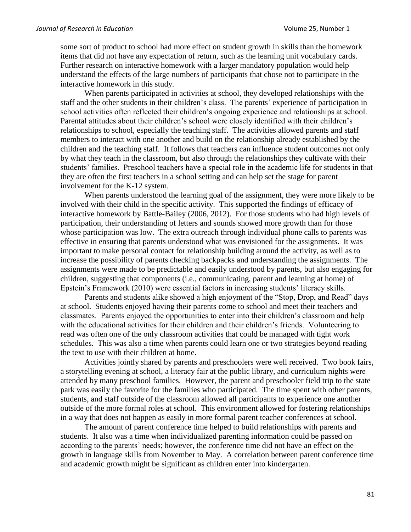some sort of product to school had more effect on student growth in skills than the homework items that did not have any expectation of return, such as the learning unit vocabulary cards. Further research on interactive homework with a larger mandatory population would help understand the effects of the large numbers of participants that chose not to participate in the interactive homework in this study.

When parents participated in activities at school, they developed relationships with the staff and the other students in their children's class. The parents' experience of participation in school activities often reflected their children's ongoing experience and relationships at school. Parental attitudes about their children's school were closely identified with their children's relationships to school, especially the teaching staff. The activities allowed parents and staff members to interact with one another and build on the relationship already established by the children and the teaching staff. It follows that teachers can influence student outcomes not only by what they teach in the classroom, but also through the relationships they cultivate with their students' families. Preschool teachers have a special role in the academic life for students in that they are often the first teachers in a school setting and can help set the stage for parent involvement for the K-12 system.

When parents understood the learning goal of the assignment, they were more likely to be involved with their child in the specific activity. This supported the findings of efficacy of interactive homework by Battle-Bailey (2006, 2012). For those students who had high levels of participation, their understanding of letters and sounds showed more growth than for those whose participation was low. The extra outreach through individual phone calls to parents was effective in ensuring that parents understood what was envisioned for the assignments. It was important to make personal contact for relationship building around the activity, as well as to increase the possibility of parents checking backpacks and understanding the assignments. The assignments were made to be predictable and easily understood by parents, but also engaging for children, suggesting that components (i.e., communicating, parent and learning at home) of Epstein's Framework (2010) were essential factors in increasing students' literacy skills.

Parents and students alike showed a high enjoyment of the "Stop, Drop, and Read" days at school. Students enjoyed having their parents come to school and meet their teachers and classmates. Parents enjoyed the opportunities to enter into their children's classroom and help with the educational activities for their children and their children's friends. Volunteering to read was often one of the only classroom activities that could be managed with tight work schedules. This was also a time when parents could learn one or two strategies beyond reading the text to use with their children at home.

Activities jointly shared by parents and preschoolers were well received. Two book fairs, a storytelling evening at school, a literacy fair at the public library, and curriculum nights were attended by many preschool families. However, the parent and preschooler field trip to the state park was easily the favorite for the families who participated. The time spent with other parents, students, and staff outside of the classroom allowed all participants to experience one another outside of the more formal roles at school. This environment allowed for fostering relationships in a way that does not happen as easily in more formal parent teacher conferences at school.

The amount of parent conference time helped to build relationships with parents and students. It also was a time when individualized parenting information could be passed on according to the parents' needs; however, the conference time did not have an effect on the growth in language skills from November to May. A correlation between parent conference time and academic growth might be significant as children enter into kindergarten.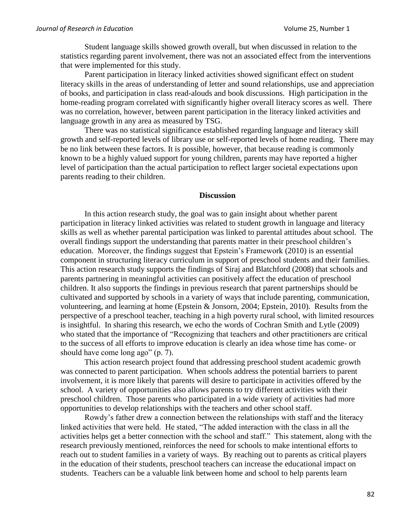Student language skills showed growth overall, but when discussed in relation to the statistics regarding parent involvement, there was not an associated effect from the interventions that were implemented for this study.

Parent participation in literacy linked activities showed significant effect on student literacy skills in the areas of understanding of letter and sound relationships, use and appreciation of books, and participation in class read-alouds and book discussions. High participation in the home-reading program correlated with significantly higher overall literacy scores as well. There was no correlation, however, between parent participation in the literacy linked activities and language growth in any area as measured by TSG.

There was no statistical significance established regarding language and literacy skill growth and self-reported levels of library use or self-reported levels of home reading. There may be no link between these factors. It is possible, however, that because reading is commonly known to be a highly valued support for young children, parents may have reported a higher level of participation than the actual participation to reflect larger societal expectations upon parents reading to their children.

#### **Discussion**

In this action research study, the goal was to gain insight about whether parent participation in literacy linked activities was related to student growth in language and literacy skills as well as whether parental participation was linked to parental attitudes about school. The overall findings support the understanding that parents matter in their preschool children's education. Moreover, the findings suggest that Epstein's Framework (2010) is an essential component in structuring literacy curriculum in support of preschool students and their families. This action research study supports the findings of Siraj and Blatchford (2008) that schools and parents partnering in meaningful activities can positively affect the education of preschool children. It also supports the findings in previous research that parent partnerships should be cultivated and supported by schools in a variety of ways that include parenting, communication, volunteering, and learning at home (Epstein & Jonsorn, 2004; Epstein, 2010). Results from the perspective of a preschool teacher, teaching in a high poverty rural school, with limited resources is insightful. In sharing this research, we echo the words of Cochran Smith and Lytle (2009) who stated that the importance of "Recognizing that teachers and other practitioners are critical to the success of all efforts to improve education is clearly an idea whose time has come- or should have come long ago" (p. 7).

This action research project found that addressing preschool student academic growth was connected to parent participation. When schools address the potential barriers to parent involvement, it is more likely that parents will desire to participate in activities offered by the school. A variety of opportunities also allows parents to try different activities with their preschool children. Those parents who participated in a wide variety of activities had more opportunities to develop relationships with the teachers and other school staff.

Rowdy's father drew a connection between the relationships with staff and the literacy linked activities that were held. He stated, "The added interaction with the class in all the activities helps get a better connection with the school and staff." This statement, along with the research previously mentioned, reinforces the need for schools to make intentional efforts to reach out to student families in a variety of ways. By reaching out to parents as critical players in the education of their students, preschool teachers can increase the educational impact on students. Teachers can be a valuable link between home and school to help parents learn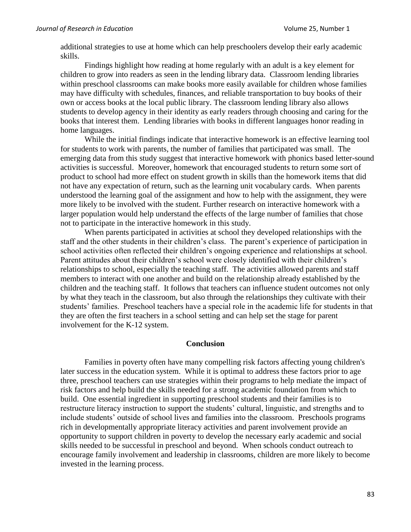additional strategies to use at home which can help preschoolers develop their early academic skills.

Findings highlight how reading at home regularly with an adult is a key element for children to grow into readers as seen in the lending library data. Classroom lending libraries within preschool classrooms can make books more easily available for children whose families may have difficulty with schedules, finances, and reliable transportation to buy books of their own or access books at the local public library. The classroom lending library also allows students to develop agency in their identity as early readers through choosing and caring for the books that interest them. Lending libraries with books in different languages honor reading in home languages.

While the initial findings indicate that interactive homework is an effective learning tool for students to work with parents, the number of families that participated was small. The emerging data from this study suggest that interactive homework with phonics based letter-sound activities is successful. Moreover, homework that encouraged students to return some sort of product to school had more effect on student growth in skills than the homework items that did not have any expectation of return, such as the learning unit vocabulary cards. When parents understood the learning goal of the assignment and how to help with the assignment, they were more likely to be involved with the student. Further research on interactive homework with a larger population would help understand the effects of the large number of families that chose not to participate in the interactive homework in this study.

When parents participated in activities at school they developed relationships with the staff and the other students in their children's class. The parent's experience of participation in school activities often reflected their children's ongoing experience and relationships at school. Parent attitudes about their children's school were closely identified with their children's relationships to school, especially the teaching staff. The activities allowed parents and staff members to interact with one another and build on the relationship already established by the children and the teaching staff. It follows that teachers can influence student outcomes not only by what they teach in the classroom, but also through the relationships they cultivate with their students' families. Preschool teachers have a special role in the academic life for students in that they are often the first teachers in a school setting and can help set the stage for parent involvement for the K-12 system.

## **Conclusion**

Families in poverty often have many compelling risk factors affecting young children's later success in the education system. While it is optimal to address these factors prior to age three, preschool teachers can use strategies within their programs to help mediate the impact of risk factors and help build the skills needed for a strong academic foundation from which to build. One essential ingredient in supporting preschool students and their families is to restructure literacy instruction to support the students' cultural, linguistic, and strengths and to include students' outside of school lives and families into the classroom. Preschools programs rich in developmentally appropriate literacy activities and parent involvement provide an opportunity to support children in poverty to develop the necessary early academic and social skills needed to be successful in preschool and beyond. When schools conduct outreach to encourage family involvement and leadership in classrooms, children are more likely to become invested in the learning process.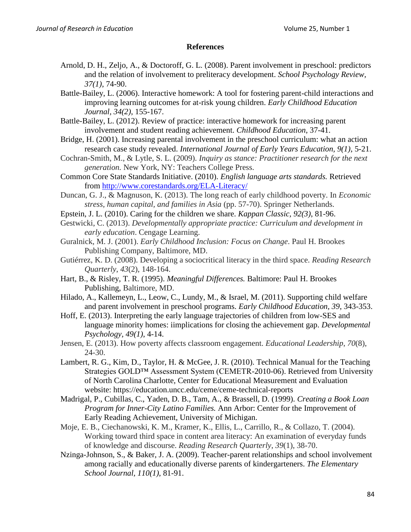## **References**

- Arnold, D. H., Zeljo, A., & Doctoroff, G. L. (2008). Parent involvement in preschool: predictors and the relation of involvement to preliteracy development. *School Psychology Review, 37(1)*, 74-90.
- Battle-Bailey, L. (2006). Interactive homework: A tool for fostering parent-child interactions and improving learning outcomes for at-risk young children. *Early Childhood Education Journal, 34(2)*, 155-167.
- Battle-Bailey, L. (2012). Review of practice: interactive homework for increasing parent involvement and student reading achievement. *Childhood Education*, 37-41.
- Bridge, H. (2001). Increasing parental involvement in the preschool curriculum: what an action research case study revealed. *International Journal of Early Years Education, 9(1)*, 5-21.
- Cochran-Smith, M., & Lytle, S. L. (2009). *Inquiry as stance: Practitioner research for the next generation.* New York, NY: Teachers College Press.
- Common Core State Standards Initiative. (2010). *English language arts standards.* Retrieved from<http://www.corestandards.org/ELA-Literacy/>
- Duncan, G. J., & Magnuson, K. (2013). The long reach of early childhood poverty. In *Economic stress, human capital, and families in Asia* (pp. 57-70). Springer Netherlands.
- Epstein, J. L. (2010). Caring for the children we share. *Kappan Classic, 92(3)*, 81-96.
- Gestwicki, C. (2013). *Developmentally appropriate practice: Curriculum and development in early education*. Cengage Learning.
- Guralnick, M. J. (2001). *Early Childhood Inclusion: Focus on Change*. Paul H. Brookes Publishing Company, Baltimore, MD.
- Gutiérrez, K. D. (2008). Developing a sociocritical literacy in the third space. *Reading Research Quarterly*, *43*(2), 148-164.
- Hart, B., & Risley, T. R. (1995). *Meaningful Differences.* Baltimore: Paul H. Brookes Publishing, Baltimore, MD.
- Hilado, A., Kallemeyn, L., Leow, C., Lundy, M., & Israel, M. (2011). Supporting child welfare and parent involvement in preschool programs. *Early Childhood Education, 39*, 343-353.
- Hoff, E. (2013). Interpreting the early language trajectories of children from low-SES and language minority homes: iimplications for closing the achievement gap. *Developmental Psychology, 49(1)*, 4-14.
- Jensen, E. (2013). How poverty affects classroom engagement. *Educational Leadership*, *70*(8), 24-30.
- Lambert, R. G., Kim, D., Taylor, H. & McGee, J. R. (2010). Technical Manual for the Teaching Strategies GOLD™ Assessment System (CEMETR-2010-06). Retrieved from University of North Carolina Charlotte, Center for Educational Measurement and Evaluation website: https://education.uncc.edu/ceme/ceme-technical-reports
- Madrigal, P., Cubillas, C., Yaden, D. B., Tam, A., & Brassell, D. (1999). *Creating a Book Loan Program for Inner-City Latino Families.* Ann Arbor: Center for the Improvement of Early Reading Achievement, University of Michigan.
- Moje, E. B., Ciechanowski, K. M., Kramer, K., Ellis, L., Carrillo, R., & Collazo, T. (2004). Working toward third space in content area literacy: An examination of everyday funds of knowledge and discourse. *Reading Research Quarterly*, *39*(1), 38-70.
- Nzinga-Johnson, S., & Baker, J. A. (2009). Teacher-parent relationships and school involvement among racially and educationally diverse parents of kindergarteners. *The Elementary School Journal, 110(1)*, 81-91.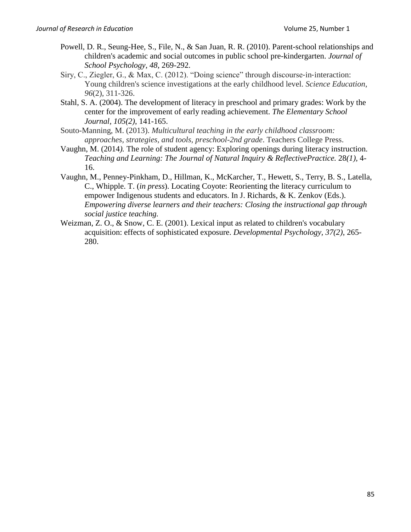- Powell, D. R., Seung-Hee, S., File, N., & San Juan, R. R. (2010). Parent-school relationships and children's academic and social outcomes in public school pre-kindergarten. *Journal of School Psychology, 48*, 269-292.
- Siry, C., Ziegler, G., & Max, C. (2012). "Doing science" through discourse‐in‐interaction: Young children's science investigations at the early childhood level. *Science Education*, *96*(2), 311-326.
- Stahl, S. A. (2004). The development of literacy in preschool and primary grades: Work by the center for the improvement of early reading achievement. *The Elementary School Journal, 105(2)*, 141-165.
- Souto-Manning, M. (2013). *Multicultural teaching in the early childhood classroom: approaches, strategies, and tools, preschool-2nd grade*. Teachers College Press.
- Vaughn, M. (2014*).* The role of student agency: Exploring openings during literacy instruction. *Teaching and Learning: The Journal of Natural Inquiry & ReflectivePractice.* 28*(1),* 4- 16.
- Vaughn, M., Penney-Pinkham, D., Hillman, K., McKarcher, T., Hewett, S., Terry, B. S., Latella, C., Whipple. T. (*in press*). Locating Coyote: Reorienting the literacy curriculum to empower Indigenous students and educators. In J. Richards, & K. Zenkov (Eds.). *Empowering diverse learners and their teachers: Closing the instructional gap through social justice teaching.*
- Weizman, Z. O., & Snow, C. E. (2001). Lexical input as related to children's vocabulary acquisition: effects of sophisticated exposure. *Developmental Psychology, 37(2)*, 265- 280.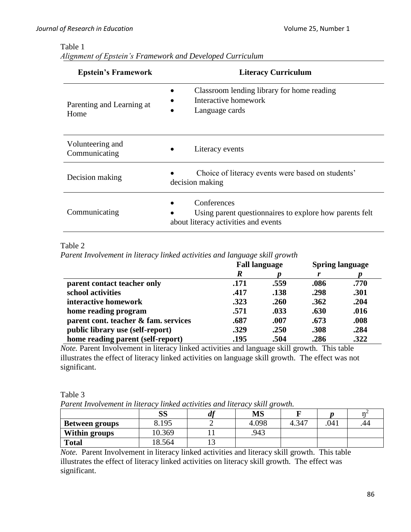# Table 1

| Alignment of Epstein's Framework and Developed Curriculum |
|-----------------------------------------------------------|
|-----------------------------------------------------------|

| <b>Epstein's Framework</b>        | <b>Literacy Curriculum</b>                                                                                     |  |  |  |  |
|-----------------------------------|----------------------------------------------------------------------------------------------------------------|--|--|--|--|
| Parenting and Learning at<br>Home | Classroom lending library for home reading<br>Interactive homework<br>Language cards                           |  |  |  |  |
| Volunteering and<br>Communicating | Literacy events                                                                                                |  |  |  |  |
| Decision making                   | Choice of literacy events were based on students'<br>decision making                                           |  |  |  |  |
| Communicating                     | Conferences<br>Using parent questionnaires to explore how parents felt<br>about literacy activities and events |  |  |  |  |

Table 2

*Parent Involvement in literacy linked activities and language skill growth*

|                                      | <b>Fall language</b> |      | <b>Spring language</b> |      |
|--------------------------------------|----------------------|------|------------------------|------|
|                                      | R                    |      | r                      |      |
| parent contact teacher only          | .171                 | .559 | .086                   | .770 |
| school activities                    | .417                 | .138 | .298                   | .301 |
| interactive homework                 | .323                 | .260 | .362                   | .204 |
| home reading program                 | .571                 | .033 | .630                   | .016 |
| parent cont. teacher & fam. services | .687                 | .007 | .673                   | .008 |
| public library use (self-report)     | .329                 | .250 | .308                   | .284 |
| home reading parent (self-report)    | .195                 | .504 | .286                   | .322 |

*Note.* Parent Involvement in literacy linked activities and language skill growth. This table illustrates the effect of literacy linked activities on language skill growth. The effect was not significant.

| Parent Involvement in literacy linked activities and literacy skill growth. |        |  |       |       |     |     |  |  |
|-----------------------------------------------------------------------------|--------|--|-------|-------|-----|-----|--|--|
|                                                                             |        |  | MS    |       |     |     |  |  |
| Between groups                                                              | 8.195  |  | 4.098 | 4.347 | 041 | .44 |  |  |
| Within groups                                                               | 10.369 |  | .943  |       |     |     |  |  |
| <b>Total</b>                                                                | 18.564 |  |       |       |     |     |  |  |

Table 3 *Parent Involvement in literacy linked activities and literacy skill growth.*

*Note.* Parent Involvement in literacy linked activities and literacy skill growth. This table illustrates the effect of literacy linked activities on literacy skill growth. The effect was significant.